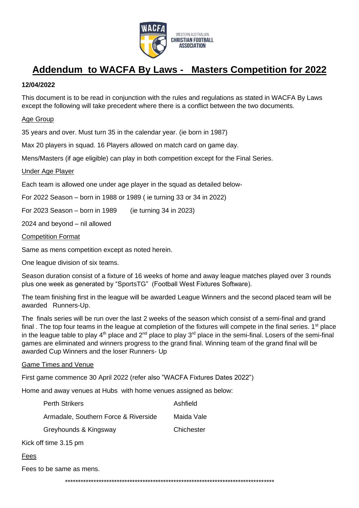

# **Addendum to WACFA By Laws - Masters Competition for 2022**

# **12/04/2022**

This document is to be read in conjunction with the rules and regulations as stated in WACFA By Laws except the following will take precedent where there is a conflict between the two documents.

# Age Group

35 years and over. Must turn 35 in the calendar year. (ie born in 1987)

Max 20 players in squad. 16 Players allowed on match card on game day.

Mens/Masters (if age eligible) can play in both competition except for the Final Series.

### Under Age Player

Each team is allowed one under age player in the squad as detailed below-

For 2022 Season – born in 1988 or 1989 ( ie turning 33 or 34 in 2022)

For 2023 Season – born in 1989 (ie turning 34 in 2023)

2024 and beyond – nil allowed

### Competition Format

Same as mens competition except as noted herein.

One league division of six teams.

Season duration consist of a fixture of 16 weeks of home and away league matches played over 3 rounds plus one week as generated by "SportsTG" (Football West Fixtures Software).

The team finishing first in the league will be awarded League Winners and the second placed team will be awarded Runners-Up.

The finals series will be run over the last 2 weeks of the season which consist of a semi-final and grand final . The top four teams in the league at completion of the fixtures will compete in the final series. 1<sup>st</sup> place in the league table to play  $4<sup>th</sup>$  place and  $2<sup>nd</sup>$  place to play  $3<sup>rd</sup>$  place in the semi-final. Losers of the semi-final games are eliminated and winners progress to the grand final. Winning team of the grand final will be awarded Cup Winners and the loser Runners- Up

### Game Times and Venue

First game commence 30 April 2022 (refer also "WACFA Fixtures Dates 2022")

Home and away venues at Hubs with home venues assigned as below:

| <b>Perth Strikers</b>                | Ashfield   |
|--------------------------------------|------------|
| Armadale, Southern Force & Riverside | Maida Vale |
| Greyhounds & Kingsway                | Chichester |

Kick off time 3.15 pm

### Fees

Fees to be same as mens.

\*\*\*\*\*\*\*\*\*\*\*\*\*\*\*\*\*\*\*\*\*\*\*\*\*\*\*\*\*\*\*\*\*\*\*\*\*\*\*\*\*\*\*\*\*\*\*\*\*\*\*\*\*\*\*\*\*\*\*\*\*\*\*\*\*\*\*\*\*\*\*\*\*\*\*\*\*\*\*\*\*